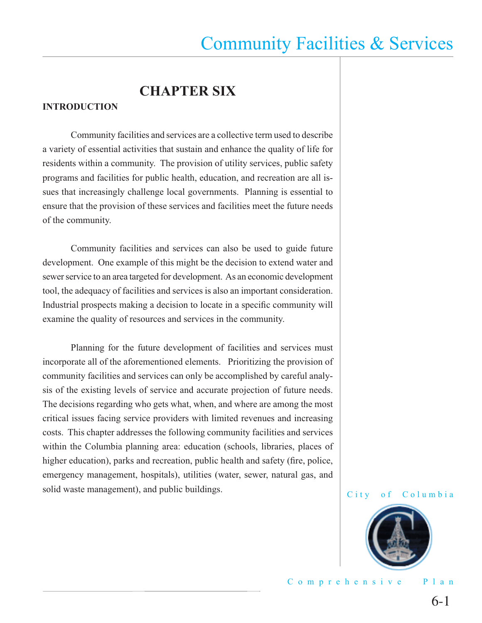## **CHAPTER SIX**

#### **INTRODUCTION**

 Community facilities and services are a collective term used to describe a variety of essential activities that sustain and enhance the quality of life for residents within a community. The provision of utility services, public safety programs and facilities for public health, education, and recreation are all issues that increasingly challenge local governments. Planning is essential to ensure that the provision of these services and facilities meet the future needs of the community.

 Community facilities and services can also be used to guide future development. One example of this might be the decision to extend water and sewer service to an area targeted for development. As an economic development tool, the adequacy of facilities and services is also an important consideration. Industrial prospects making a decision to locate in a specific community will examine the quality of resources and services in the community.

 Planning for the future development of facilities and services must incorporate all of the aforementioned elements. Prioritizing the provision of community facilities and services can only be accomplished by careful analysis of the existing levels of service and accurate projection of future needs. The decisions regarding who gets what, when, and where are among the most critical issues facing service providers with limited revenues and increasing costs. This chapter addresses the following community facilities and services within the Columbia planning area: education (schools, libraries, places of higher education), parks and recreation, public health and safety (fire, police, emergency management, hospitals), utilities (water, sewer, natural gas, and solid waste management), and public buildings.



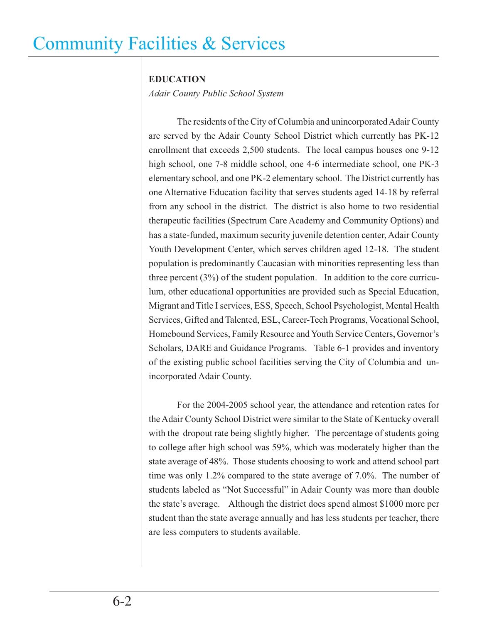### **EDUCATION**

*Adair County Public School System*

The residents of the City of Columbia and unincorporated Adair County are served by the Adair County School District which currently has PK-12 enrollment that exceeds 2,500 students. The local campus houses one 9-12 high school, one 7-8 middle school, one 4-6 intermediate school, one PK-3 elementary school, and one PK-2 elementary school. The District currently has one Alternative Education facility that serves students aged 14-18 by referral from any school in the district. The district is also home to two residential therapeutic facilities (Spectrum Care Academy and Community Options) and has a state-funded, maximum security juvenile detention center, Adair County Youth Development Center, which serves children aged 12-18. The student population is predominantly Caucasian with minorities representing less than three percent (3%) of the student population. In addition to the core curriculum, other educational opportunities are provided such as Special Education, Migrant and Title I services, ESS, Speech, School Psychologist, Mental Health Services, Gifted and Talented, ESL, Career-Tech Programs, Vocational School, Homebound Services, Family Resource and Youth Service Centers, Governor's Scholars, DARE and Guidance Programs. Table 6-1 provides and inventory of the existing public school facilities serving the City of Columbia and unincorporated Adair County.

 For the 2004-2005 school year, the attendance and retention rates for the Adair County School District were similar to the State of Kentucky overall with the dropout rate being slightly higher. The percentage of students going to college after high school was 59%, which was moderately higher than the state average of 48%. Those students choosing to work and attend school part time was only 1.2% compared to the state average of 7.0%. The number of students labeled as "Not Successful" in Adair County was more than double the state's average. Although the district does spend almost \$1000 more per student than the state average annually and has less students per teacher, there are less computers to students available.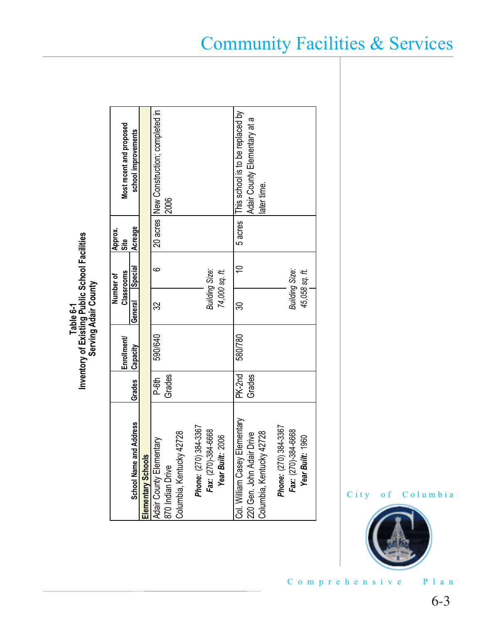lities

|                                                |                     |             |                | Number of      | Approx.     |                                                  |
|------------------------------------------------|---------------------|-------------|----------------|----------------|-------------|--------------------------------------------------|
|                                                |                     | Enrollment/ |                | Classrooms     | <u>Site</u> | Most recent and proposed                         |
| Address<br><b>School Name and</b>              | Grades              | Capacity    | General        | <b>Special</b> | Acreage     | school improvements                              |
| Elementary Schools                             |                     |             |                |                |             |                                                  |
| Σg<br>Adair County Element<br>870 Indian Drive | Grades<br>P-61<br>P | 590/640     | ω              | ဖ              |             | 20 acres  New Construction; completed in<br>2006 |
| Columbia, Kentucky 42728                       |                     |             |                |                |             |                                                  |
| 34-3367<br>Phone: (270) 38                     |                     |             |                |                |             |                                                  |
| Fax: (270)-384-6668                            |                     |             | Building Size: |                |             |                                                  |
| Year Built: 2006                               |                     |             |                | 74,000 sq. ft. |             |                                                  |
| Col. William Casey Elementary                  | PK-2nd              | 580/780     | ౚ              | $\cong$        | 5 acres     | This school is to be replaced by                 |
| Drive<br>220 Gen. John Adair                   | Grades              |             |                |                |             | Adair County Elementary at a                     |
| Columbia, Kentucky 42728                       |                     |             |                |                |             | ater time.                                       |
| Phone: (270) 384-3367                          |                     |             |                |                |             |                                                  |
| Fax: (270)-384-6668                            |                     |             | Building Size: |                |             |                                                  |
| 1960<br><b>Year Built:</b>                     |                     |             |                | 45,058 sq. ft. |             |                                                  |
|                                                |                     |             |                |                |             |                                                  |

Community Facilities & Services

City of Columbia

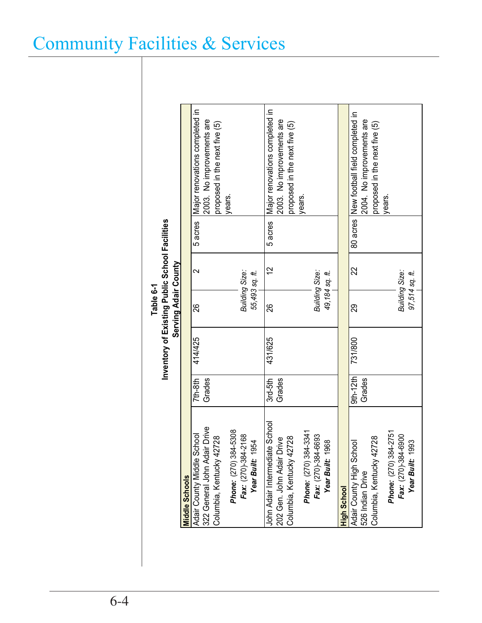|                                                                                         |                      | Inventory of Existing Public School Facilities | Serving Adair County<br>Table 6-1 |                   |         |                                                                                                        |
|-----------------------------------------------------------------------------------------|----------------------|------------------------------------------------|-----------------------------------|-------------------|---------|--------------------------------------------------------------------------------------------------------|
| <b>Middle Schools</b>                                                                   |                      |                                                |                                   |                   |         |                                                                                                        |
| Adair County Middle School<br>322 General John Adair Drive<br>Columbia, Kentucky 42728  | Grades<br>$7th-8th$  | 414/425                                        | 88                                | $\mathbf{\Omega}$ | 5 acres | Major renovations completed in<br>2003. No improvements are<br>proposed in the next five (5)           |
| Phone: (270) 384-5308<br>Fax: (270)-384-2168<br>Year Built: 1954                        |                      |                                                | Building Size:<br>55,493 sq. ft.  |                   |         | years.                                                                                                 |
| John Adair Intermediate School<br>Columbia, Kentucky 42728<br>202 Gen. John Adair Drive | Grades<br>$3rd-5th$  | 431/625                                        | 26                                | $\tilde{c}$       | 5 acres | Major renovations completed in<br>2003. No improvements are<br>proposed in the next five (5)<br>years. |
| Phone: (270) 384-3341<br>Fax: (270)-384-6693<br>Year Built: 1968                        |                      |                                                | Building Size:<br>49,184 sq. ft.  |                   |         |                                                                                                        |
| High School                                                                             |                      |                                                |                                   |                   |         |                                                                                                        |
| Columbia, Kentucky 42728<br>Adair County High School<br>526 Indian Drive                | $9th-12th$<br>Grades | 731/800                                        | 29                                | 22                |         | 80 acres New football field completed in<br>2004. No improvements are<br>proposed in the next five (5) |
| Phone: (270) 384-2751<br>Fax: (270)-384-6900<br>Year Built: 1993                        |                      |                                                | Building Size:<br>97,514 sq. ft.  |                   |         | lyears.                                                                                                |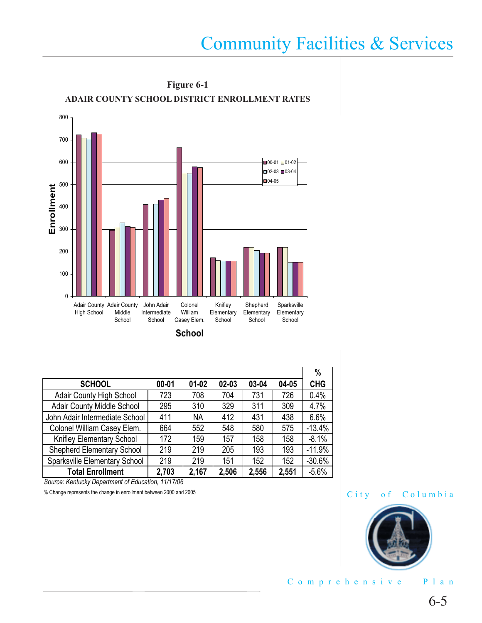

**School**

|                                      |           |           |       |       |       | $\%$       |
|--------------------------------------|-----------|-----------|-------|-------|-------|------------|
| <b>SCHOOL</b>                        | $00 - 01$ | $01 - 02$ | 02-03 | 03-04 | 04-05 | <b>CHG</b> |
| <b>Adair County High School</b>      | 723       | 708       | 704   | 731   | 726   | 0.4%       |
| <b>Adair County Middle School</b>    | 295       | 310       | 329   | 311   | 309   | 4.7%       |
| John Adair Intermediate School       | 411       | <b>NA</b> | 412   | 431   | 438   | 6.6%       |
| Colonel William Casey Elem.          | 664       | 552       | 548   | 580   | 575   | $-13.4%$   |
| Knifley Elementary School            | 172       | 159       | 157   | 158   | 158   | $-8.1%$    |
| <b>Shepherd Elementary School</b>    | 219       | 219       | 205   | 193   | 193   | $-11.9%$   |
| <b>Sparksville Elementary School</b> | 219       | 219       | 151   | 152   | 152   | $-30.6%$   |
| <b>Total Enrollment</b>              | 2,703     | 2,167     | 2,506 | 2,556 | 2,551 | $-5.6%$    |

*Source: Kentucky Department of Education, 11/17/06*

% Change represents the change in enrollment between 2000 and 2005

#### City of Columbia



Comprehensive Plan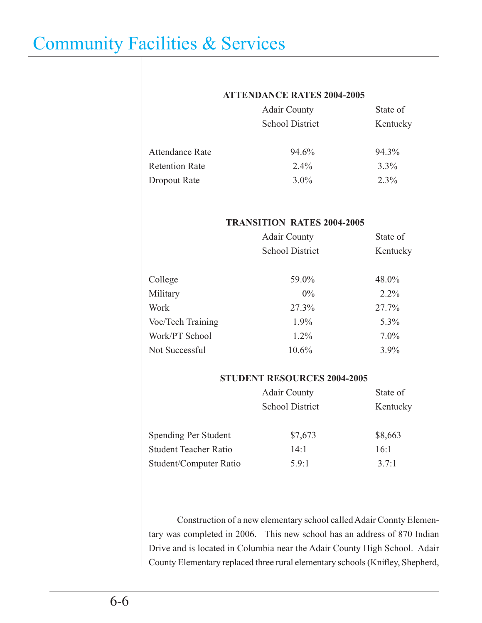#### **ATTENDANCE RATES 2004-2005**

| <b>Adair County</b>    | State of |
|------------------------|----------|
| <b>School District</b> | Kentucky |
| 94.6%                  | 94.3%    |
| $2.4\%$                | $3.3\%$  |
| $3.0\%$                | $2.3\%$  |
|                        |          |

#### **TRANSITION RATES 2004-2005**

| <b>Adair County</b>    | State of |
|------------------------|----------|
| <b>School District</b> | Kentucky |
|                        | 48.0%    |
| $0\%$                  | $2.2\%$  |
| 27.3%                  | 27.7%    |
| $1.9\%$                | $5.3\%$  |
| $1.2\%$                | $7.0\%$  |
| 10.6%                  | 3.9%     |
|                        | 59.0%    |

#### **STUDENT RESOURCES 2004-2005**

|                              | <b>Adair County</b>    | State of |
|------------------------------|------------------------|----------|
|                              | <b>School District</b> | Kentucky |
| Spending Per Student         | \$7,673                | \$8,663  |
| <b>Student Teacher Ratio</b> | 14:1                   | 16:1     |
| Student/Computer Ratio       | 5.9:1                  | 3.7:1    |

 Construction of a new elementary school called Adair Connty Elementary was completed in 2006. This new school has an address of 870 Indian Drive and is located in Columbia near the Adair County High School. Adair County Elementary replaced three rural elementary schools (Knifley, Shepherd,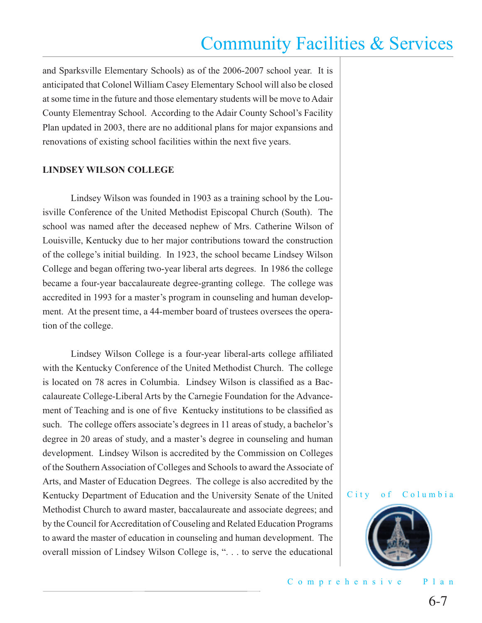and Sparksville Elementary Schools) as of the 2006-2007 school year. It is anticipated that Colonel William Casey Elementary School will also be closed at some time in the future and those elementary students will be move to Adair County Elementray School. According to the Adair County School's Facility Plan updated in 2003, there are no additional plans for major expansions and renovations of existing school facilities within the next five years.

#### **LINDSEY WILSON COLLEGE**

Lindsey Wilson was founded in 1903 as a training school by the Louisville Conference of the United Methodist Episcopal Church (South). The school was named after the deceased nephew of Mrs. Catherine Wilson of Louisville, Kentucky due to her major contributions toward the construction of the college's initial building. In 1923, the school became Lindsey Wilson College and began offering two-year liberal arts degrees. In 1986 the college became a four-year baccalaureate degree-granting college. The college was accredited in 1993 for a master's program in counseling and human development. At the present time, a 44-member board of trustees oversees the operation of the college.

Lindsey Wilson College is a four-year liberal-arts college affiliated with the Kentucky Conference of the United Methodist Church. The college is located on 78 acres in Columbia. Lindsey Wilson is classified as a Baccalaureate College-Liberal Arts by the Carnegie Foundation for the Advancement of Teaching and is one of five Kentucky institutions to be classified as such. The college offers associate's degrees in 11 areas of study, a bachelor's degree in 20 areas of study, and a master's degree in counseling and human development. Lindsey Wilson is accredited by the Commission on Colleges of the Southern Association of Colleges and Schools to award the Associate of Arts, and Master of Education Degrees. The college is also accredited by the Kentucky Department of Education and the University Senate of the United Methodist Church to award master, baccalaureate and associate degrees; and by the Council for Accreditation of Couseling and Related Education Programs to award the master of education in counseling and human development. The overall mission of Lindsey Wilson College is, ". . . to serve the educational

#### City of Columbia

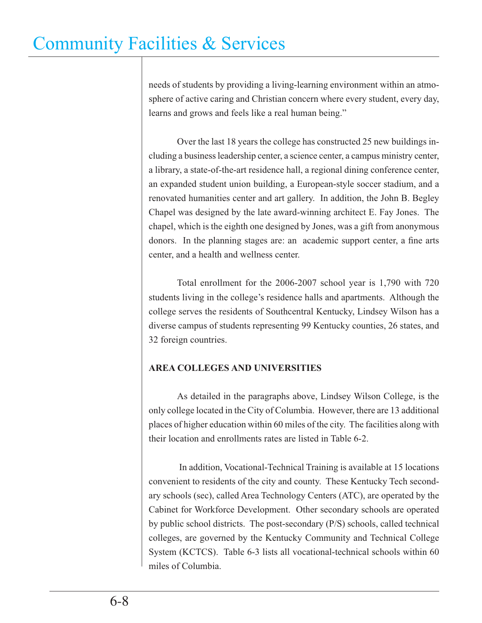needs of students by providing a living-learning environment within an atmosphere of active caring and Christian concern where every student, every day, learns and grows and feels like a real human being."

Over the last 18 years the college has constructed 25 new buildings including a business leadership center, a science center, a campus ministry center, a library, a state-of-the-art residence hall, a regional dining conference center, an expanded student union building, a European-style soccer stadium, and a renovated humanities center and art gallery. In addition, the John B. Begley Chapel was designed by the late award-winning architect E. Fay Jones. The chapel, which is the eighth one designed by Jones, was a gift from anonymous donors. In the planning stages are: an academic support center, a fine arts center, and a health and wellness center.

 Total enrollment for the 2006-2007 school year is 1,790 with 720 students living in the college's residence halls and apartments. Although the college serves the residents of Southcentral Kentucky, Lindsey Wilson has a diverse campus of students representing 99 Kentucky counties, 26 states, and 32 foreign countries.

### **AREA COLLEGES AND UNIVERSITIES**

As detailed in the paragraphs above, Lindsey Wilson College, is the only college located in the City of Columbia. However, there are 13 additional places of higher education within 60 miles of the city. The facilities along with their location and enrollments rates are listed in Table 6-2.

 In addition, Vocational-Technical Training is available at 15 locations convenient to residents of the city and county. These Kentucky Tech secondary schools (sec), called Area Technology Centers (ATC), are operated by the Cabinet for Workforce Development. Other secondary schools are operated by public school districts. The post-secondary (P/S) schools, called technical colleges, are governed by the Kentucky Community and Technical College System (KCTCS). Table 6-3 lists all vocational-technical schools within 60 miles of Columbia.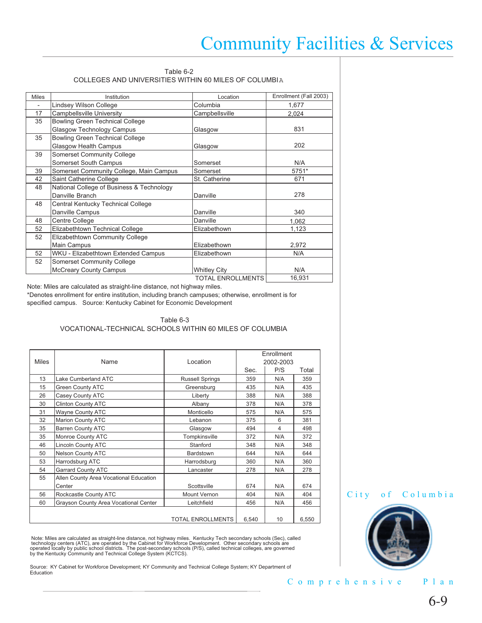#### Table 6-2 COLLEGES AND UNIVERSITIES WITHIN 60 MILES OF COLUMBIA

| <b>Miles</b> | Institution                               | Location                 | Enrollment (Fall 2003) |
|--------------|-------------------------------------------|--------------------------|------------------------|
|              | Lindsey Wilson College                    | Columbia                 | 1,677                  |
| 17           | Campbellsville University                 | Campbellsville           | 2,024                  |
| 35           | <b>Bowling Green Technical College</b>    |                          |                        |
|              | <b>Glasgow Technology Campus</b>          | Glasgow                  | 831                    |
| 35           | <b>Bowling Green Technical College</b>    |                          |                        |
|              | <b>Glasgow Health Campus</b>              | Glasgow                  | 202                    |
| 39           | <b>Somerset Community College</b>         |                          |                        |
|              | <b>Somerset South Campus</b>              | Somerset                 | N/A                    |
| 39           | Somerset Community College, Main Campus   | Somerset                 | 5751*                  |
| 42           | Saint Catherine College                   | St. Catherine            | 671                    |
| 48           | National College of Business & Technology |                          |                        |
|              | Danville Branch                           | Danville                 | 278                    |
| 48           | Central Kentucky Technical College        |                          |                        |
|              | Danville Campus                           | Danville                 | 340                    |
| 48           | Centre College                            | Danville                 | 1,062                  |
| 52           | Elizabethtown Technical College           | Elizabethown             | 1,123                  |
| 52           | Elizabethtown Community College           |                          |                        |
|              | Main Campus                               | Elizabethown             | 2,972                  |
| 52           | WKU - Elizabethtown Extended Campus       | Elizabethown             | N/A                    |
| 52           | <b>Somerset Community College</b>         |                          |                        |
|              | <b>McCreary County Campus</b>             | <b>Whitley City</b>      | N/A                    |
|              |                                           | <b>TOTAL ENROLLMENTS</b> | 16,931                 |

Note: Miles are calculated as straight-line distance, not highway miles.

\*Denotes enrollment for entire institution, including branch campuses; otherwise, enrollment is for specified campus. Source: Kentucky Cabinet for Economic Development

#### Table 6-3 VOCATIONAL-TECHNICAL SCHOOLS WITHIN 60 MILES OF COLUMBIA

| <b>Miles</b> | Name                                   | Location                 |       | Enrollment<br>2002-2003 |       |
|--------------|----------------------------------------|--------------------------|-------|-------------------------|-------|
|              |                                        |                          | Sec.  | P/S                     | Total |
| 13           | Lake Cumberland ATC                    | <b>Russell Springs</b>   | 359   | N/A                     | 359   |
| 15           | <b>Green County ATC</b>                | Greensburg               | 435   | N/A                     | 435   |
| 26           | Casey County ATC                       | Liberty                  | 388   | N/A                     | 388   |
| 30           | <b>Clinton County ATC</b>              | Albany                   | 378   | N/A                     | 378   |
| 31           | <b>Wayne County ATC</b>                | Monticello               | 575   | N/A                     | 575   |
| 32           | <b>Marion County ATC</b>               | Lebanon                  | 375   | 6                       | 381   |
| 35           | <b>Barren County ATC</b>               | Glasgow                  | 494   | 4                       | 498   |
| 35           | Monroe County ATC                      | Tompkinsville            | 372   | N/A                     | 372   |
| 46           | <b>Lincoln County ATC</b>              | Stanford                 | 348   | N/A                     | 348   |
| 50           | <b>Nelson County ATC</b>               | Bardstown                | 644   | N/A                     | 644   |
| 53           | Harrodsburg ATC                        | Harrodsburg              | 360   | N/A                     | 360   |
| 54           | <b>Garrard County ATC</b>              | Lancaster                | 278   | N/A                     | 278   |
| 55           | Allen County Area Vocational Education |                          |       |                         |       |
|              | Center                                 | Scottsville              | 674   | N/A                     | 674   |
| 56           | Rockcastle County ATC                  | <b>Mount Vernon</b>      | 404   | N/A                     | 404   |
| 60           | Grayson County Area Vocational Center  | Leitchfield              | 456   | N/A                     | 456   |
|              |                                        |                          |       |                         |       |
|              |                                        | <b>TOTAL ENROLLMENTS</b> | 6,540 | 10                      | 6.550 |

Note: Miles are calculated as straight-line distance, not highway miles. Kentucky Tech secondary schools (Sec), called<br>technology centers (ATC), are operated by the Cabinet for Workforce Development. Other secondary school

Source: KY Cabinet for Workforce Development; KY Community and Technical College System; KY Department of Education

#### City of Columbia



#### Comprehensive Plan

6-9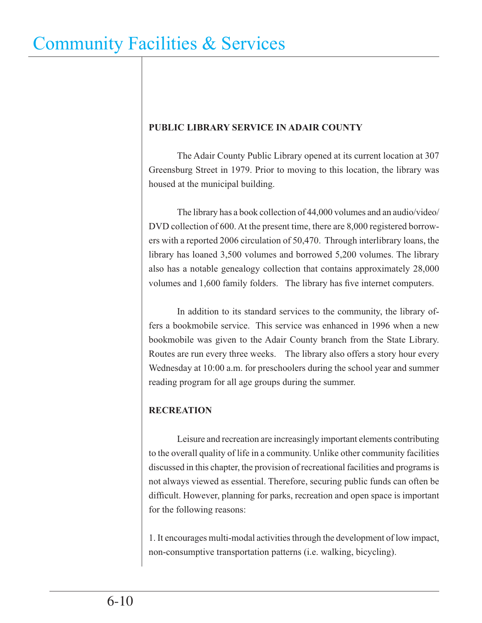### **PUBLIC LIBRARY SERVICE IN ADAIR COUNTY**

 The Adair County Public Library opened at its current location at 307 Greensburg Street in 1979. Prior to moving to this location, the library was housed at the municipal building.

 The library has a book collection of 44,000 volumes and an audio/video/ DVD collection of 600. At the present time, there are 8,000 registered borrowers with a reported 2006 circulation of 50,470. Through interlibrary loans, the library has loaned 3,500 volumes and borrowed 5,200 volumes. The library also has a notable genealogy collection that contains approximately 28,000 volumes and 1,600 family folders. The library has five internet computers.

 In addition to its standard services to the community, the library offers a bookmobile service. This service was enhanced in 1996 when a new bookmobile was given to the Adair County branch from the State Library. Routes are run every three weeks. The library also offers a story hour every Wednesday at 10:00 a.m. for preschoolers during the school year and summer reading program for all age groups during the summer.

### **RECREATION**

 Leisure and recreation are increasingly important elements contributing to the overall quality of life in a community. Unlike other community facilities discussed in this chapter, the provision of recreational facilities and programs is not always viewed as essential. Therefore, securing public funds can often be difficult. However, planning for parks, recreation and open space is important for the following reasons:

1. It encourages multi-modal activities through the development of low impact, non-consumptive transportation patterns (i.e. walking, bicycling).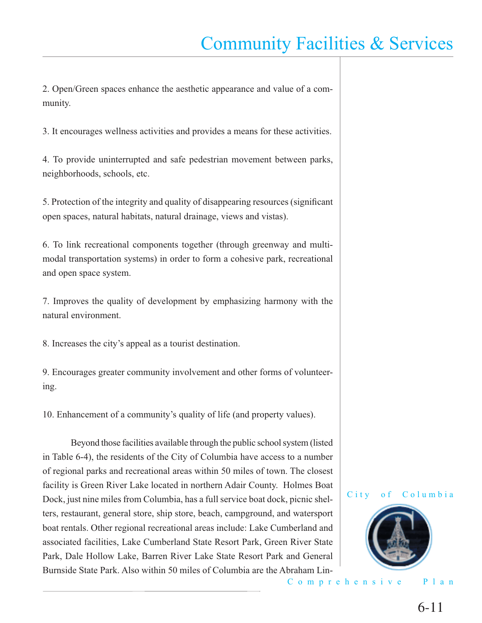2. Open/Green spaces enhance the aesthetic appearance and value of a community.

3. It encourages wellness activities and provides a means for these activities.

4. To provide uninterrupted and safe pedestrian movement between parks, neighborhoods, schools, etc.

5. Protection of the integrity and quality of disappearing resources (significant open spaces, natural habitats, natural drainage, views and vistas).

6. To link recreational components together (through greenway and multimodal transportation systems) in order to form a cohesive park, recreational and open space system.

7. Improves the quality of development by emphasizing harmony with the natural environment.

8. Increases the city's appeal as a tourist destination.

9. Encourages greater community involvement and other forms of volunteering.

10. Enhancement of a community's quality of life (and property values).

 Beyond those facilities available through the public school system (listed in Table 6-4), the residents of the City of Columbia have access to a number of regional parks and recreational areas within 50 miles of town. The closest facility is Green River Lake located in northern Adair County. Holmes Boat Dock, just nine miles from Columbia, has a full service boat dock, picnic shelters, restaurant, general store, ship store, beach, campground, and watersport boat rentals. Other regional recreational areas include: Lake Cumberland and associated facilities, Lake Cumberland State Resort Park, Green River State Park, Dale Hollow Lake, Barren River Lake State Resort Park and General Burnside State Park. Also within 50 miles of Columbia are the Abraham Lin-





Comprehensive Plan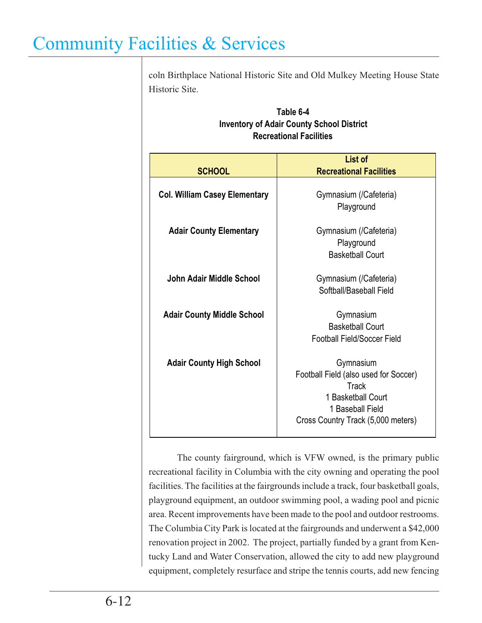coln Birthplace National Historic Site and Old Mulkey Meeting House State Historic Site.

|                                      | List of                                                                                                                                            |  |
|--------------------------------------|----------------------------------------------------------------------------------------------------------------------------------------------------|--|
| <b>SCHOOL</b>                        | <b>Recreational Facilities</b>                                                                                                                     |  |
| <b>Col. William Casey Elementary</b> | Gymnasium (/Cafeteria)<br>Playground                                                                                                               |  |
| <b>Adair County Elementary</b>       | Gymnasium (/Cafeteria)<br>Playground<br><b>Basketball Court</b>                                                                                    |  |
| John Adair Middle School             | Gymnasium (/Cafeteria)<br>Softball/Baseball Field                                                                                                  |  |
| <b>Adair County Middle School</b>    | Gymnasium<br><b>Basketball Court</b><br><b>Football Field/Soccer Field</b>                                                                         |  |
| <b>Adair County High School</b>      | Gymnasium<br>Football Field (also used for Soccer)<br><b>Track</b><br>1 Basketball Court<br>1 Baseball Field<br>Cross Country Track (5,000 meters) |  |

### **Table 6-4 Inventory of Adair County School District Recreational Facilities**

 The county fairground, which is VFW owned, is the primary public recreational facility in Columbia with the city owning and operating the pool facilities. The facilities at the fairgrounds include a track, four basketball goals, playground equipment, an outdoor swimming pool, a wading pool and picnic area. Recent improvements have been made to the pool and outdoor restrooms. The Columbia City Park is located at the fairgrounds and underwent a \$42,000 renovation project in 2002. The project, partially funded by a grant from Kentucky Land and Water Conservation, allowed the city to add new playground equipment, completely resurface and stripe the tennis courts, add new fencing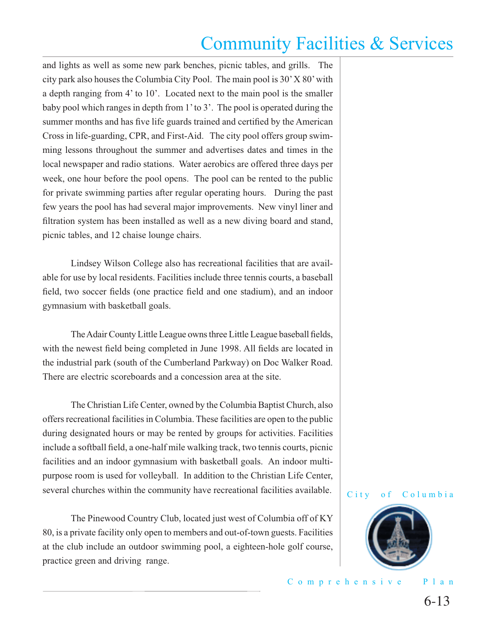and lights as well as some new park benches, picnic tables, and grills. The city park also houses the Columbia City Pool. The main pool is 30' X 80' with a depth ranging from 4' to 10'. Located next to the main pool is the smaller baby pool which ranges in depth from 1' to 3'. The pool is operated during the summer months and has five life guards trained and certified by the American Cross in life-guarding, CPR, and First-Aid. The city pool offers group swimming lessons throughout the summer and advertises dates and times in the local newspaper and radio stations. Water aerobics are offered three days per week, one hour before the pool opens. The pool can be rented to the public for private swimming parties after regular operating hours. During the past few years the pool has had several major improvements. New vinyl liner and filtration system has been installed as well as a new diving board and stand, picnic tables, and 12 chaise lounge chairs.

 Lindsey Wilson College also has recreational facilities that are available for use by local residents. Facilities include three tennis courts, a baseball field, two soccer fields (one practice field and one stadium), and an indoor gymnasium with basketball goals.

The Adair County Little League owns three Little League baseball fields, with the newest field being completed in June 1998. All fields are located in the industrial park (south of the Cumberland Parkway) on Doc Walker Road. There are electric scoreboards and a concession area at the site.

 The Christian Life Center, owned by the Columbia Baptist Church, also offers recreational facilities in Columbia. These facilities are open to the public during designated hours or may be rented by groups for activities. Facilities include a softball field, a one-half mile walking track, two tennis courts, picnic facilities and an indoor gymnasium with basketball goals. An indoor multipurpose room is used for volleyball. In addition to the Christian Life Center, several churches within the community have recreational facilities available.

 The Pinewood Country Club, located just west of Columbia off of KY 80, is a private facility only open to members and out-of-town guests. Facilities at the club include an outdoor swimming pool, a eighteen-hole golf course, practice green and driving range.

#### City of Columbia

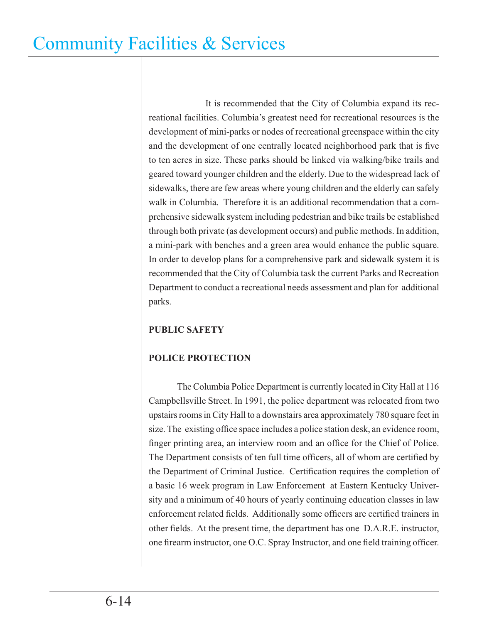It is recommended that the City of Columbia expand its recreational facilities. Columbia's greatest need for recreational resources is the development of mini-parks or nodes of recreational greenspace within the city and the development of one centrally located neighborhood park that is five to ten acres in size. These parks should be linked via walking/bike trails and geared toward younger children and the elderly. Due to the widespread lack of sidewalks, there are few areas where young children and the elderly can safely walk in Columbia. Therefore it is an additional recommendation that a comprehensive sidewalk system including pedestrian and bike trails be established through both private (as development occurs) and public methods. In addition, a mini-park with benches and a green area would enhance the public square. In order to develop plans for a comprehensive park and sidewalk system it is recommended that the City of Columbia task the current Parks and Recreation Department to conduct a recreational needs assessment and plan for additional parks.

### **PUBLIC SAFETY**

### **POLICE PROTECTION**

 The Columbia Police Department is currently located in City Hall at 116 Campbellsville Street. In 1991, the police department was relocated from two upstairs rooms in City Hall to a downstairs area approximately 780 square feet in size. The existing office space includes a police station desk, an evidence room, finger printing area, an interview room and an office for the Chief of Police. The Department consists of ten full time officers, all of whom are certified by the Department of Criminal Justice. Certification requires the completion of a basic 16 week program in Law Enforcement at Eastern Kentucky University and a minimum of 40 hours of yearly continuing education classes in law enforcement related fields. Additionally some officers are certified trainers in other fields. At the present time, the department has one D.A.R.E. instructor, one firearm instructor, one O.C. Spray Instructor, and one field training officer.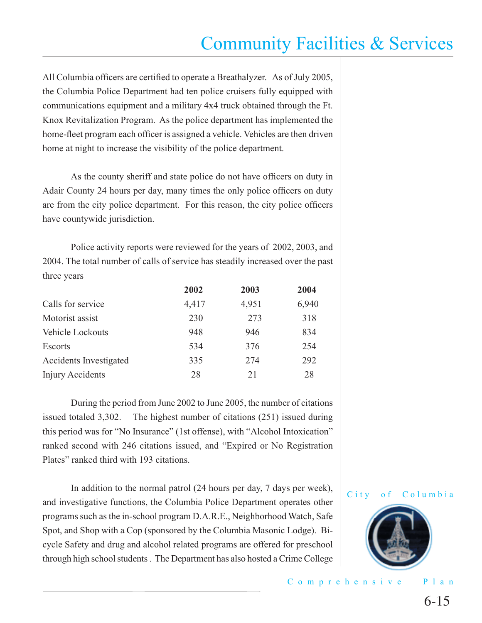All Columbia officers are certified to operate a Breathalyzer. As of July 2005, the Columbia Police Department had ten police cruisers fully equipped with communications equipment and a military 4x4 truck obtained through the Ft. Knox Revitalization Program. As the police department has implemented the home-fleet program each officer is assigned a vehicle. Vehicles are then driven home at night to increase the visibility of the police department.

As the county sheriff and state police do not have officers on duty in Adair County 24 hours per day, many times the only police officers on duty are from the city police department. For this reason, the city police officers have countywide jurisdiction.

 Police activity reports were reviewed for the years of 2002, 2003, and 2004. The total number of calls of service has steadily increased over the past three years

|                        | 2002  | 2003  | 2004  |
|------------------------|-------|-------|-------|
| Calls for service      | 4,417 | 4,951 | 6,940 |
| Motorist assist        | 230   | 273   | 318   |
| Vehicle Lockouts       | 948   | 946   | 834   |
| <b>Escorts</b>         | 534   | 376   | 254   |
| Accidents Investigated | 335   | 274   | 292   |
| Injury Accidents       | 28    | 21    | 28    |

 During the period from June 2002 to June 2005, the number of citations issued totaled 3,302. The highest number of citations (251) issued during this period was for "No Insurance" (1st offense), with "Alcohol Intoxication" ranked second with 246 citations issued, and "Expired or No Registration Plates" ranked third with 193 citations.

 In addition to the normal patrol (24 hours per day, 7 days per week), and investigative functions, the Columbia Police Department operates other programs such as the in-school program D.A.R.E., Neighborhood Watch, Safe Spot, and Shop with a Cop (sponsored by the Columbia Masonic Lodge). Bicycle Safety and drug and alcohol related programs are offered for preschool through high school students . The Department has also hosted a Crime College



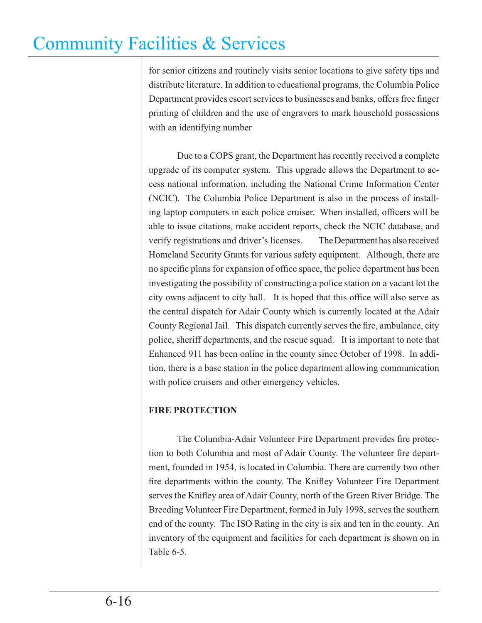for senior citizens and routinely visits senior locations to give safety tips and distribute literature. In addition to educational programs, the Columbia Police Department provides escort services to businesses and banks, offers free finger printing of children and the use of engravers to mark household possessions with an identifying number

 Due to a COPS grant, the Department has recently received a complete upgrade of its computer system. This upgrade allows the Department to access national information, including the National Crime Information Center (NCIC). The Columbia Police Department is also in the process of installing laptop computers in each police cruiser. When installed, officers will be able to issue citations, make accident reports, check the NCIC database, and verify registrations and driver's licenses. The Department has also received Homeland Security Grants for various safety equipment. Although, there are no specific plans for expansion of office space, the police department has been investigating the possibility of constructing a police station on a vacant lot the city owns adjacent to city hall. It is hoped that this office will also serve as the central dispatch for Adair County which is currently located at the Adair County Regional Jail. This dispatch currently serves the fire, ambulance, city police, sheriff departments, and the rescue squad. It is important to note that Enhanced 911 has been online in the county since October of 1998. In addition, there is a base station in the police department allowing communication with police cruisers and other emergency vehicles.

### **FIRE PROTECTION**

The Columbia-Adair Volunteer Fire Department provides fire protection to both Columbia and most of Adair County. The volunteer fire department, founded in 1954, is located in Columbia. There are currently two other fire departments within the county. The Knifley Volunteer Fire Department serves the Knifley area of Adair County, north of the Green River Bridge. The Breeding Volunteer Fire Department, formed in July 1998, serves the southern end of the county. The ISO Rating in the city is six and ten in the county. An inventory of the equipment and facilities for each department is shown on in Table 6-5.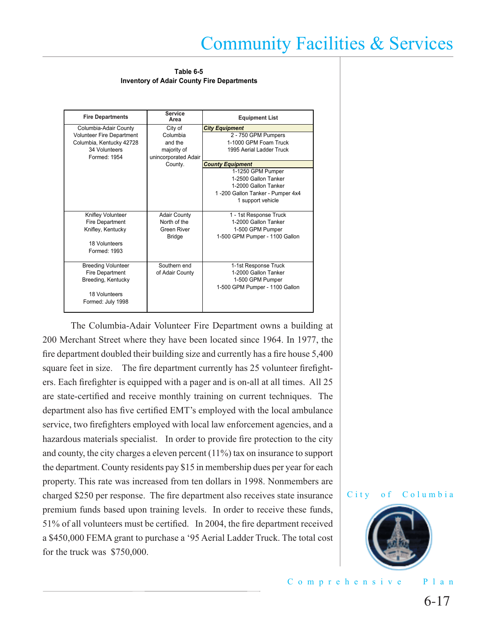**Table 6-5 Inventory of Adair County Fire Departments**

| <b>Fire Departments</b>          | <b>Service</b><br>Area | <b>Equipment List</b>            |
|----------------------------------|------------------------|----------------------------------|
| Columbia-Adair County            | City of                | <b>City Equipment</b>            |
| <b>Volunteer Fire Department</b> | Columbia               | 2 - 750 GPM Pumpers              |
| Columbia, Kentucky 42728         | and the                | 1-1000 GPM Foam Truck            |
| 34 Volunteers                    | majority of            | 1995 Aerial Ladder Truck         |
| Formed: 1954                     | unincorporated Adair   |                                  |
|                                  | County.                | <b>County Equipment</b>          |
|                                  |                        | 1-1250 GPM Pumper                |
|                                  |                        | 1-2500 Gallon Tanker             |
|                                  |                        | 1-2000 Gallon Tanker             |
|                                  |                        | 1-200 Gallon Tanker - Pumper 4x4 |
|                                  |                        | 1 support vehicle                |
|                                  |                        |                                  |
| Knifley Volunteer                | <b>Adair County</b>    | 1 - 1st Response Truck           |
| Fire Department                  | North of the           | 1-2000 Gallon Tanker             |
| Knifley, Kentucky                | Green River            | 1-500 GPM Pumper                 |
|                                  | <b>Bridge</b>          | 1-500 GPM Pumper - 1100 Gallon   |
| 18 Volunteers                    |                        |                                  |
| Formed: 1993                     |                        |                                  |
|                                  |                        |                                  |
| <b>Breeding Volunteer</b>        | Southern end           | 1-1st Response Truck             |
| <b>Fire Department</b>           | of Adair County        | 1-2000 Gallon Tanker             |
| Breeding, Kentucky               |                        | 1-500 GPM Pumper                 |
|                                  |                        | 1-500 GPM Pumper - 1100 Gallon   |
| 18 Volunteers                    |                        |                                  |
| Formed: July 1998                |                        |                                  |
|                                  |                        |                                  |

 The Columbia-Adair Volunteer Fire Department owns a building at 200 Merchant Street where they have been located since 1964. In 1977, the fire department doubled their building size and currently has a fire house 5,400 square feet in size. The fire department currently has 25 volunteer firefighters. Each firefighter is equipped with a pager and is on-all at all times. All 25 are state-certified and receive monthly training on current techniques. The department also has five certified EMT's employed with the local ambulance service, two firefighters employed with local law enforcement agencies, and a hazardous materials specialist. In order to provide fire protection to the city and county, the city charges a eleven percent (11%) tax on insurance to support the department. County residents pay \$15 in membership dues per year for each property. This rate was increased from ten dollars in 1998. Nonmembers are charged \$250 per response. The fire department also receives state insurance premium funds based upon training levels. In order to receive these funds, 51% of all volunteers must be certified. In 2004, the fire department received a \$450,000 FEMA grant to purchase a '95 Aerial Ladder Truck. The total cost for the truck was \$750,000.



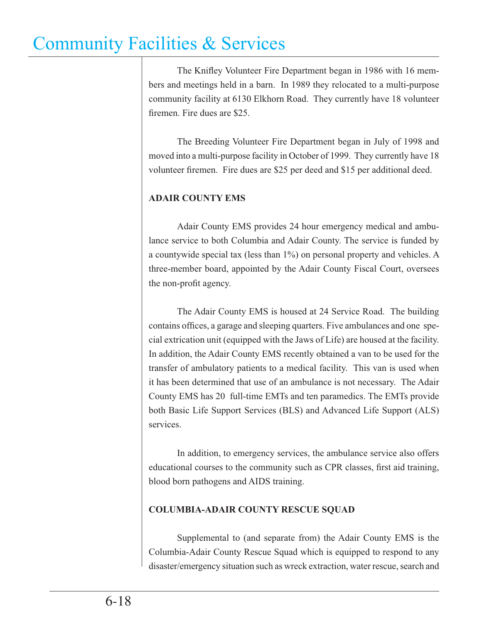The Knifley Volunteer Fire Department began in 1986 with 16 members and meetings held in a barn. In 1989 they relocated to a multi-purpose community facility at 6130 Elkhorn Road. They currently have 18 volunteer firemen. Fire dues are \$25.

 The Breeding Volunteer Fire Department began in July of 1998 and moved into a multi-purpose facility in October of 1999. They currently have 18 volunteer firemen. Fire dues are \$25 per deed and \$15 per additional deed.

### **ADAIR COUNTY EMS**

 Adair County EMS provides 24 hour emergency medical and ambulance service to both Columbia and Adair County. The service is funded by a countywide special tax (less than 1%) on personal property and vehicles. A three-member board, appointed by the Adair County Fiscal Court, oversees the non-profit agency.

 The Adair County EMS is housed at 24 Service Road. The building contains offices, a garage and sleeping quarters. Five ambulances and one special extrication unit (equipped with the Jaws of Life) are housed at the facility. In addition, the Adair County EMS recently obtained a van to be used for the transfer of ambulatory patients to a medical facility. This van is used when it has been determined that use of an ambulance is not necessary. The Adair County EMS has 20 full-time EMTs and ten paramedics. The EMTs provide both Basic Life Support Services (BLS) and Advanced Life Support (ALS) services.

 In addition, to emergency services, the ambulance service also offers educational courses to the community such as CPR classes, first aid training, blood born pathogens and AIDS training.

### **COLUMBIA-ADAIR COUNTY RESCUE SQUAD**

 Supplemental to (and separate from) the Adair County EMS is the Columbia-Adair County Rescue Squad which is equipped to respond to any disaster/emergency situation such as wreck extraction, water rescue, search and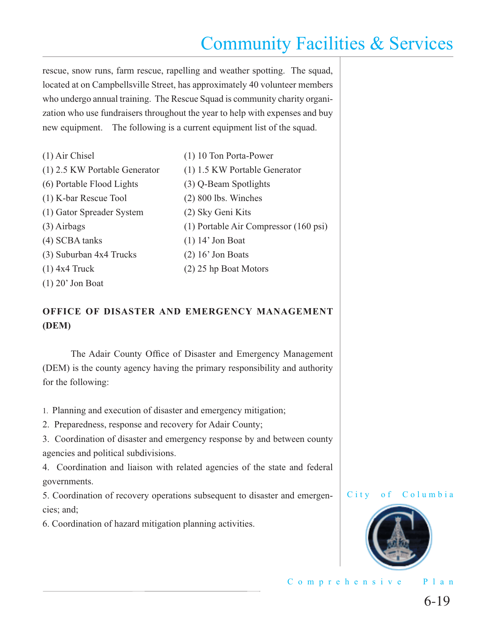rescue, snow runs, farm rescue, rapelling and weather spotting. The squad, located at on Campbellsville Street, has approximately 40 volunteer members who undergo annual training. The Rescue Squad is community charity organization who use fundraisers throughout the year to help with expenses and buy new equipment. The following is a current equipment list of the squad.

| $(1)$ Air Chisel              | (1) 10 Ton Porta-Power                |
|-------------------------------|---------------------------------------|
| (1) 2.5 KW Portable Generator | (1) 1.5 KW Portable Generator         |
| (6) Portable Flood Lights     | (3) Q-Beam Spotlights                 |
| (1) K-bar Rescue Tool         | $(2)$ 800 lbs. Winches                |
| (1) Gator Spreader System     | (2) Sky Geni Kits                     |
| $(3)$ Airbags                 | (1) Portable Air Compressor (160 psi) |
| (4) SCBA tanks                | $(1)$ 14' Jon Boat                    |
| (3) Suburban 4x4 Trucks       | $(2)$ 16' Jon Boats                   |
| $(1)$ 4x4 Truck               | $(2)$ 25 hp Boat Motors               |
| $(1)$ 20' Jon Boat            |                                       |

### **OFFICE OF DISASTER AND EMERGENCY MANAGEMENT (DEM)**

The Adair County Office of Disaster and Emergency Management (DEM) is the county agency having the primary responsibility and authority for the following:

- 1. Planning and execution of disaster and emergency mitigation;
- 2. Preparedness, response and recovery for Adair County;
- 3. Coordination of disaster and emergency response by and between county agencies and political subdivisions.
- 4. Coordination and liaison with related agencies of the state and federal governments.
- 5. Coordination of recovery operations subsequent to disaster and emergencies; and;
- 6. Coordination of hazard mitigation planning activities.



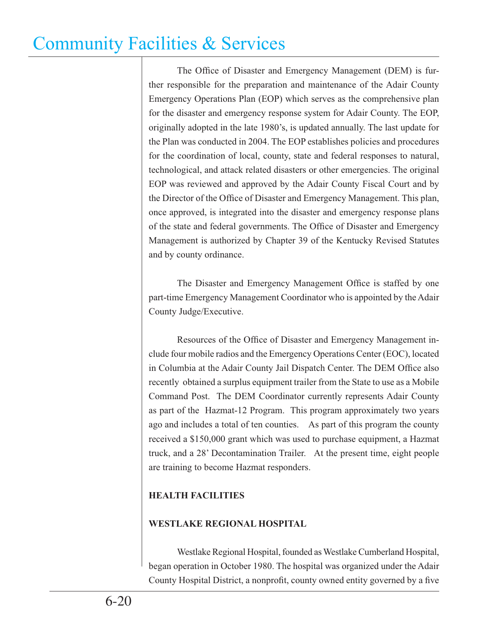The Office of Disaster and Emergency Management (DEM) is further responsible for the preparation and maintenance of the Adair County Emergency Operations Plan (EOP) which serves as the comprehensive plan for the disaster and emergency response system for Adair County. The EOP, originally adopted in the late 1980's, is updated annually. The last update for the Plan was conducted in 2004. The EOP establishes policies and procedures for the coordination of local, county, state and federal responses to natural, technological, and attack related disasters or other emergencies. The original EOP was reviewed and approved by the Adair County Fiscal Court and by the Director of the Office of Disaster and Emergency Management. This plan, once approved, is integrated into the disaster and emergency response plans of the state and federal governments. The Office of Disaster and Emergency Management is authorized by Chapter 39 of the Kentucky Revised Statutes and by county ordinance.

The Disaster and Emergency Management Office is staffed by one part-time Emergency Management Coordinator who is appointed by the Adair County Judge/Executive.

Resources of the Office of Disaster and Emergency Management include four mobile radios and the Emergency Operations Center (EOC), located in Columbia at the Adair County Jail Dispatch Center. The DEM Office also recently obtained a surplus equipment trailer from the State to use as a Mobile Command Post. The DEM Coordinator currently represents Adair County as part of the Hazmat-12 Program. This program approximately two years ago and includes a total of ten counties. As part of this program the county received a \$150,000 grant which was used to purchase equipment, a Hazmat truck, and a 28' Decontamination Trailer. At the present time, eight people are training to become Hazmat responders.

### **HEALTH FACILITIES**

### **WESTLAKE REGIONAL HOSPITAL**

 Westlake Regional Hospital, founded as Westlake Cumberland Hospital, began operation in October 1980. The hospital was organized under the Adair County Hospital District, a nonprofit, county owned entity governed by a five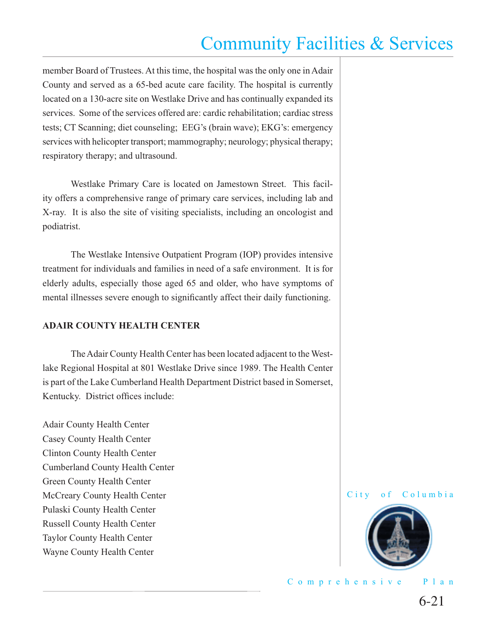member Board of Trustees. At this time, the hospital was the only one in Adair County and served as a 65-bed acute care facility. The hospital is currently located on a 130-acre site on Westlake Drive and has continually expanded its services. Some of the services offered are: cardic rehabilitation; cardiac stress tests; CT Scanning; diet counseling; EEG's (brain wave); EKG's: emergency services with helicopter transport; mammography; neurology; physical therapy; respiratory therapy; and ultrasound.

 Westlake Primary Care is located on Jamestown Street. This facility offers a comprehensive range of primary care services, including lab and X-ray. It is also the site of visiting specialists, including an oncologist and podiatrist.

 The Westlake Intensive Outpatient Program (IOP) provides intensive treatment for individuals and families in need of a safe environment. It is for elderly adults, especially those aged 65 and older, who have symptoms of mental illnesses severe enough to significantly affect their daily functioning.

#### **ADAIR COUNTY HEALTH CENTER**

 The Adair County Health Center has been located adjacent to the Westlake Regional Hospital at 801 Westlake Drive since 1989. The Health Center is part of the Lake Cumberland Health Department District based in Somerset, Kentucky. District offices include:

Adair County Health Center Casey County Health Center Clinton County Health Center Cumberland County Health Center Green County Health Center McCreary County Health Center Pulaski County Health Center Russell County Health Center Taylor County Health Center Wayne County Health Center

City of Columbia



Comprehensive Plan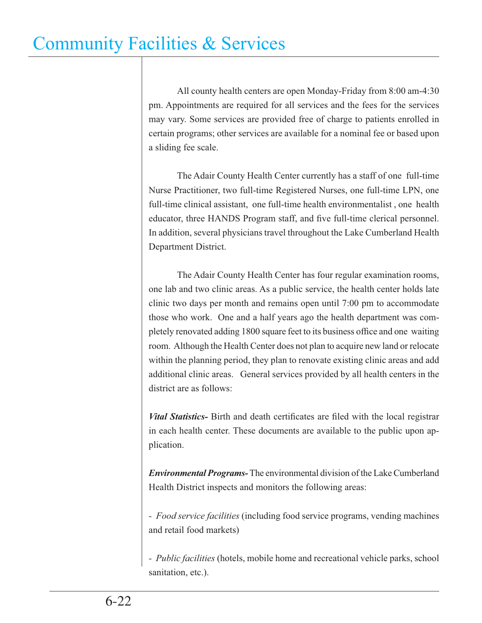All county health centers are open Monday-Friday from 8:00 am-4:30 pm. Appointments are required for all services and the fees for the services may vary. Some services are provided free of charge to patients enrolled in certain programs; other services are available for a nominal fee or based upon a sliding fee scale.

 The Adair County Health Center currently has a staff of one full-time Nurse Practitioner, two full-time Registered Nurses, one full-time LPN, one full-time clinical assistant, one full-time health environmentalist , one health educator, three HANDS Program staff, and five full-time clerical personnel. In addition, several physicians travel throughout the Lake Cumberland Health Department District.

 The Adair County Health Center has four regular examination rooms, one lab and two clinic areas. As a public service, the health center holds late clinic two days per month and remains open until 7:00 pm to accommodate those who work. One and a half years ago the health department was completely renovated adding 1800 square feet to its business office and one waiting room. Although the Health Center does not plan to acquire new land or relocate within the planning period, they plan to renovate existing clinic areas and add additional clinic areas. General services provided by all health centers in the district are as follows:

*Vital Statistics*- Birth and death certificates are filed with the local registrar in each health center. These documents are available to the public upon application.

*Environmental Programs-* The environmental division of the Lake Cumberland Health District inspects and monitors the following areas:

*- Food service facilities* (including food service programs, vending machines and retail food markets)

*- Public facilities* (hotels, mobile home and recreational vehicle parks, school sanitation, etc.).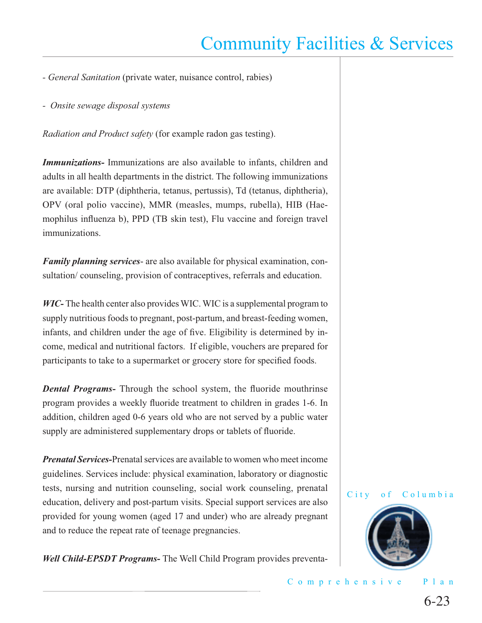- *General Sanitation* (private water, nuisance control, rabies)
- *Onsite sewage disposal systems*

*Radiation and Product safety* (for example radon gas testing).

*Immunizations-* Immunizations are also available to infants, children and adults in all health departments in the district. The following immunizations are available: DTP (diphtheria, tetanus, pertussis), Td (tetanus, diphtheria), OPV (oral polio vaccine), MMR (measles, mumps, rubella), HIB (Haemophilus influenza b), PPD (TB skin test), Flu vaccine and foreign travel immunizations.

*Family planning services*- are also available for physical examination, consultation/ counseling, provision of contraceptives, referrals and education.

*WIC-* The health center also provides WIC. WIC is a supplemental program to supply nutritious foods to pregnant, post-partum, and breast-feeding women, infants, and children under the age of five. Eligibility is determined by income, medical and nutritional factors. If eligible, vouchers are prepared for participants to take to a supermarket or grocery store for specified foods.

*Dental Programs-* Through the school system, the fluoride mouthrinse program provides a weekly fluoride treatment to children in grades 1-6. In addition, children aged 0-6 years old who are not served by a public water supply are administered supplementary drops or tablets of fluoride.

*Prenatal Services-*Prenatal services are available to women who meet income guidelines. Services include: physical examination, laboratory or diagnostic tests, nursing and nutrition counseling, social work counseling, prenatal education, delivery and post-partum visits. Special support services are also provided for young women (aged 17 and under) who are already pregnant and to reduce the repeat rate of teenage pregnancies.

*Well Child-EPSDT Programs-* The Well Child Program provides preventa-



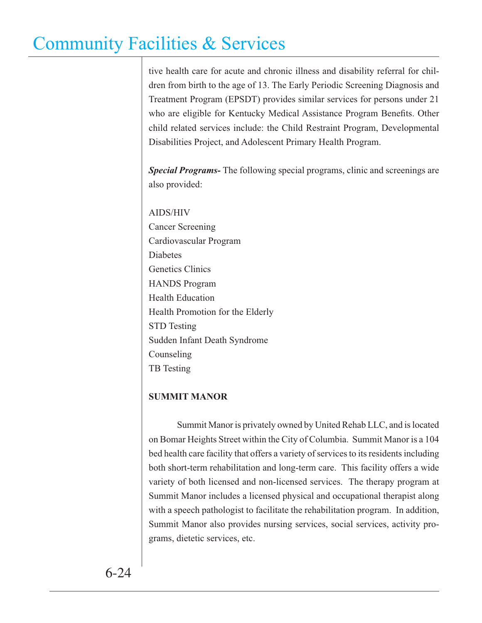tive health care for acute and chronic illness and disability referral for children from birth to the age of 13. The Early Periodic Screening Diagnosis and Treatment Program (EPSDT) provides similar services for persons under 21 who are eligible for Kentucky Medical Assistance Program Benefits. Other child related services include: the Child Restraint Program, Developmental Disabilities Project, and Adolescent Primary Health Program.

*Special Programs-* The following special programs, clinic and screenings are also provided:

AIDS/HIV Cancer Screening Cardiovascular Program **Diabetes** Genetics Clinics HANDS Program Health Education Health Promotion for the Elderly STD Testing Sudden Infant Death Syndrome Counseling TB Testing

#### **SUMMIT MANOR**

 Summit Manor is privately owned by United Rehab LLC, and is located on Bomar Heights Street within the City of Columbia. Summit Manor is a 104 bed health care facility that offers a variety of services to its residents including both short-term rehabilitation and long-term care. This facility offers a wide variety of both licensed and non-licensed services. The therapy program at Summit Manor includes a licensed physical and occupational therapist along with a speech pathologist to facilitate the rehabilitation program. In addition, Summit Manor also provides nursing services, social services, activity programs, dietetic services, etc.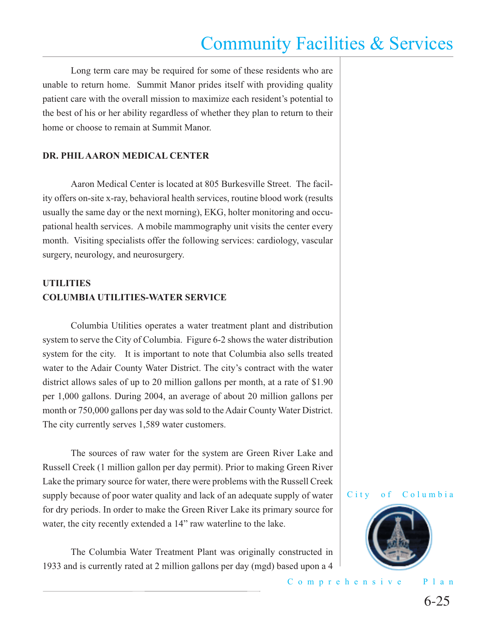Long term care may be required for some of these residents who are unable to return home. Summit Manor prides itself with providing quality patient care with the overall mission to maximize each resident's potential to the best of his or her ability regardless of whether they plan to return to their home or choose to remain at Summit Manor.

#### **DR. PHIL AARON MEDICAL CENTER**

Aaron Medical Center is located at 805 Burkesville Street. The facility offers on-site x-ray, behavioral health services, routine blood work (results usually the same day or the next morning), EKG, holter monitoring and occupational health services. A mobile mammography unit visits the center every month. Visiting specialists offer the following services: cardiology, vascular surgery, neurology, and neurosurgery.

### **UTILITIES COLUMBIA UTILITIES-WATER SERVICE**

 Columbia Utilities operates a water treatment plant and distribution system to serve the City of Columbia. Figure 6-2 shows the water distribution system for the city. It is important to note that Columbia also sells treated water to the Adair County Water District. The city's contract with the water district allows sales of up to 20 million gallons per month, at a rate of \$1.90 per 1,000 gallons. During 2004, an average of about 20 million gallons per month or 750,000 gallons per day was sold to the Adair County Water District. The city currently serves 1,589 water customers.

 The sources of raw water for the system are Green River Lake and Russell Creek (1 million gallon per day permit). Prior to making Green River Lake the primary source for water, there were problems with the Russell Creek supply because of poor water quality and lack of an adequate supply of water for dry periods. In order to make the Green River Lake its primary source for water, the city recently extended a 14" raw waterline to the lake.

 The Columbia Water Treatment Plant was originally constructed in 1933 and is currently rated at 2 million gallons per day (mgd) based upon a 4



City of Columbia

#### Comprehensive Plan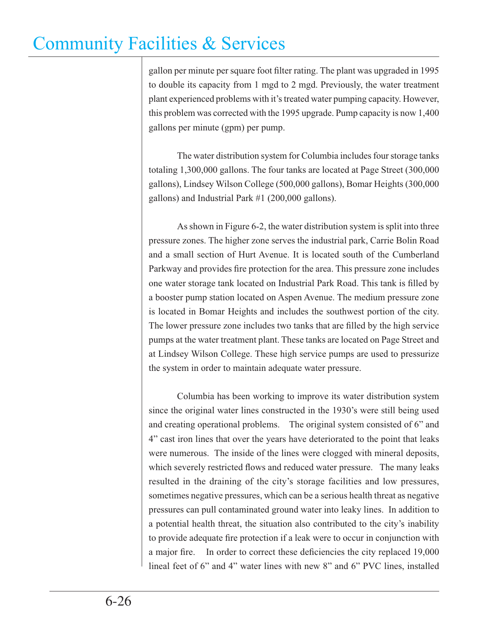gallon per minute per square foot filter rating. The plant was upgraded in 1995 to double its capacity from 1 mgd to 2 mgd. Previously, the water treatment plant experienced problems with it's treated water pumping capacity. However, this problem was corrected with the 1995 upgrade. Pump capacity is now 1,400 gallons per minute (gpm) per pump.

 The water distribution system for Columbia includes four storage tanks totaling 1,300,000 gallons. The four tanks are located at Page Street (300,000 gallons), Lindsey Wilson College (500,000 gallons), Bomar Heights (300,000 gallons) and Industrial Park #1 (200,000 gallons).

 As shown in Figure 6-2, the water distribution system is split into three pressure zones. The higher zone serves the industrial park, Carrie Bolin Road and a small section of Hurt Avenue. It is located south of the Cumberland Parkway and provides fire protection for the area. This pressure zone includes one water storage tank located on Industrial Park Road. This tank is filled by a booster pump station located on Aspen Avenue. The medium pressure zone is located in Bomar Heights and includes the southwest portion of the city. The lower pressure zone includes two tanks that are filled by the high service pumps at the water treatment plant. These tanks are located on Page Street and at Lindsey Wilson College. These high service pumps are used to pressurize the system in order to maintain adequate water pressure.

 Columbia has been working to improve its water distribution system since the original water lines constructed in the 1930's were still being used and creating operational problems. The original system consisted of 6" and 4" cast iron lines that over the years have deteriorated to the point that leaks were numerous. The inside of the lines were clogged with mineral deposits, which severely restricted flows and reduced water pressure. The many leaks resulted in the draining of the city's storage facilities and low pressures, sometimes negative pressures, which can be a serious health threat as negative pressures can pull contaminated ground water into leaky lines. In addition to a potential health threat, the situation also contributed to the city's inability to provide adequate fire protection if a leak were to occur in conjunction with a major fire. In order to correct these deficiencies the city replaced 19,000 lineal feet of 6" and 4" water lines with new 8" and 6" PVC lines, installed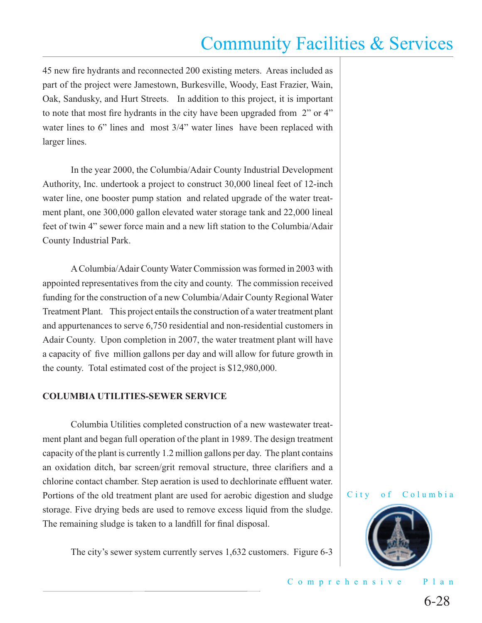45 new fire hydrants and reconnected 200 existing meters. Areas included as part of the project were Jamestown, Burkesville, Woody, East Frazier, Wain, Oak, Sandusky, and Hurt Streets. In addition to this project, it is important to note that most fire hydrants in the city have been upgraded from 2" or 4" water lines to 6" lines and most  $3/4$ " water lines have been replaced with larger lines.

 In the year 2000, the Columbia/Adair County Industrial Development Authority, Inc. undertook a project to construct 30,000 lineal feet of 12-inch water line, one booster pump station and related upgrade of the water treatment plant, one 300,000 gallon elevated water storage tank and 22,000 lineal feet of twin 4" sewer force main and a new lift station to the Columbia/Adair County Industrial Park.

 A Columbia/Adair County Water Commission was formed in 2003 with appointed representatives from the city and county. The commission received funding for the construction of a new Columbia/Adair County Regional Water Treatment Plant. This project entails the construction of a water treatment plant and appurtenances to serve 6,750 residential and non-residential customers in Adair County. Upon completion in 2007, the water treatment plant will have a capacity of five million gallons per day and will allow for future growth in the county. Total estimated cost of the project is \$12,980,000.

#### **COLUMBIA UTILITIES-SEWER SERVICE**

 Columbia Utilities completed construction of a new wastewater treatment plant and began full operation of the plant in 1989. The design treatment capacity of the plant is currently 1.2 million gallons per day. The plant contains an oxidation ditch, bar screen/grit removal structure, three clarifiers and a chlorine contact chamber. Step aeration is used to dechlorinate effluent water. Portions of the old treatment plant are used for aerobic digestion and sludge storage. Five drying beds are used to remove excess liquid from the sludge. The remaining sludge is taken to a landfill for final disposal.

The city's sewer system currently serves 1,632 customers. Figure 6-3



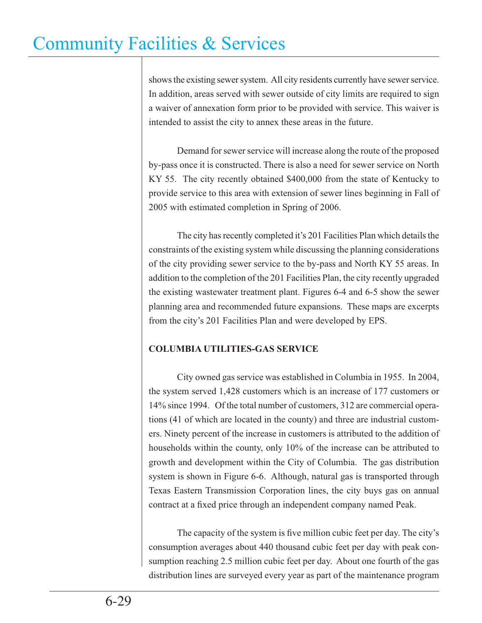shows the existing sewer system. All city residents currently have sewer service. In addition, areas served with sewer outside of city limits are required to sign a waiver of annexation form prior to be provided with service. This waiver is intended to assist the city to annex these areas in the future.

 Demand for sewer service will increase along the route of the proposed by-pass once it is constructed. There is also a need for sewer service on North KY 55. The city recently obtained \$400,000 from the state of Kentucky to provide service to this area with extension of sewer lines beginning in Fall of 2005 with estimated completion in Spring of 2006.

 The city has recently completed it's 201 Facilities Plan which details the constraints of the existing system while discussing the planning considerations of the city providing sewer service to the by-pass and North KY 55 areas. In addition to the completion of the 201 Facilities Plan, the city recently upgraded the existing wastewater treatment plant. Figures 6-4 and 6-5 show the sewer planning area and recommended future expansions. These maps are excerpts from the city's 201 Facilities Plan and were developed by EPS.

### **COLUMBIA UTILITIES-GAS SERVICE**

 City owned gas service was established in Columbia in 1955. In 2004, the system served 1,428 customers which is an increase of 177 customers or 14% since 1994. Of the total number of customers, 312 are commercial operations (41 of which are located in the county) and three are industrial customers. Ninety percent of the increase in customers is attributed to the addition of households within the county, only 10% of the increase can be attributed to growth and development within the City of Columbia. The gas distribution system is shown in Figure 6-6. Although, natural gas is transported through Texas Eastern Transmission Corporation lines, the city buys gas on annual contract at a fixed price through an independent company named Peak.

The capacity of the system is five million cubic feet per day. The city's consumption averages about 440 thousand cubic feet per day with peak consumption reaching 2.5 million cubic feet per day. About one fourth of the gas distribution lines are surveyed every year as part of the maintenance program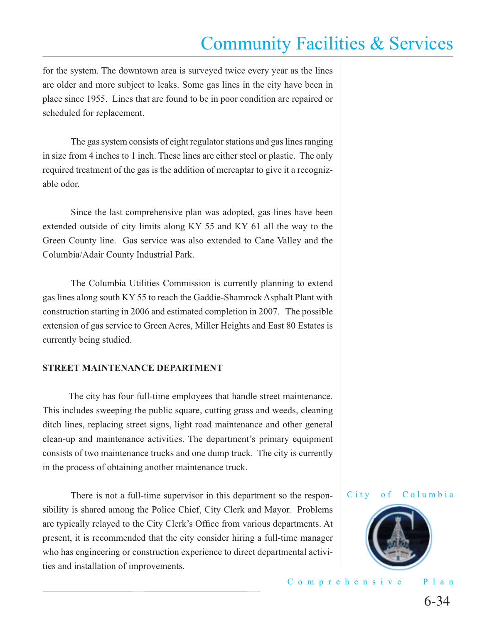for the system. The downtown area is surveyed twice every year as the lines are older and more subject to leaks. Some gas lines in the city have been in place since 1955. Lines that are found to be in poor condition are repaired or scheduled for replacement.

 The gas system consists of eight regulator stations and gas lines ranging in size from 4 inches to 1 inch. These lines are either steel or plastic. The only required treatment of the gas is the addition of mercaptar to give it a recognizable odor.

 Since the last comprehensive plan was adopted, gas lines have been extended outside of city limits along KY 55 and KY 61 all the way to the Green County line. Gas service was also extended to Cane Valley and the Columbia/Adair County Industrial Park.

 The Columbia Utilities Commission is currently planning to extend gas lines along south KY 55 to reach the Gaddie-Shamrock Asphalt Plant with construction starting in 2006 and estimated completion in 2007. The possible extension of gas service to Green Acres, Miller Heights and East 80 Estates is currently being studied.

#### **STREET MAINTENANCE DEPARTMENT**

 The city has four full-time employees that handle street maintenance. This includes sweeping the public square, cutting grass and weeds, cleaning ditch lines, replacing street signs, light road maintenance and other general clean-up and maintenance activities. The department's primary equipment consists of two maintenance trucks and one dump truck. The city is currently in the process of obtaining another maintenance truck.

 There is not a full-time supervisor in this department so the responsibility is shared among the Police Chief, City Clerk and Mayor. Problems are typically relayed to the City Clerk's Office from various departments. At present, it is recommended that the city consider hiring a full-time manager who has engineering or construction experience to direct departmental activities and installation of improvements.

#### City of Columbia

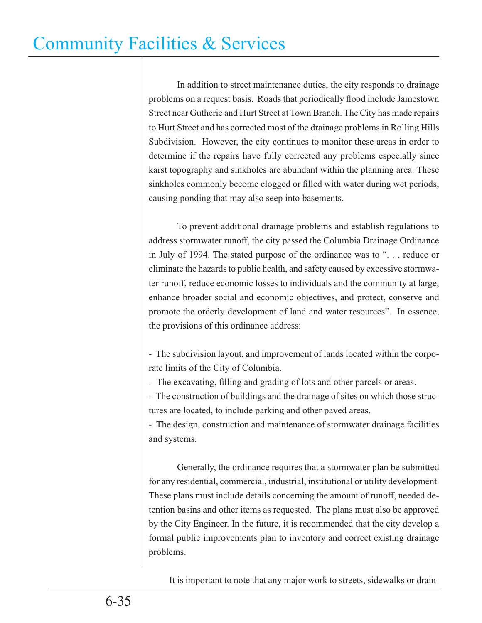In addition to street maintenance duties, the city responds to drainage problems on a request basis. Roads that periodically flood include Jamestown Street near Gutherie and Hurt Street at Town Branch. The City has made repairs to Hurt Street and has corrected most of the drainage problems in Rolling Hills Subdivision. However, the city continues to monitor these areas in order to determine if the repairs have fully corrected any problems especially since karst topography and sinkholes are abundant within the planning area. These sinkholes commonly become clogged or filled with water during wet periods, causing ponding that may also seep into basements.

 To prevent additional drainage problems and establish regulations to address stormwater runoff, the city passed the Columbia Drainage Ordinance in July of 1994. The stated purpose of the ordinance was to ". . . reduce or eliminate the hazards to public health, and safety caused by excessive stormwater runoff, reduce economic losses to individuals and the community at large, enhance broader social and economic objectives, and protect, conserve and promote the orderly development of land and water resources". In essence, the provisions of this ordinance address:

- The subdivision layout, and improvement of lands located within the corporate limits of the City of Columbia.

- The excavating, filling and grading of lots and other parcels or areas.

- The construction of buildings and the drainage of sites on which those structures are located, to include parking and other paved areas.

- The design, construction and maintenance of stormwater drainage facilities and systems.

 Generally, the ordinance requires that a stormwater plan be submitted for any residential, commercial, industrial, institutional or utility development. These plans must include details concerning the amount of runoff, needed detention basins and other items as requested. The plans must also be approved by the City Engineer. In the future, it is recommended that the city develop a formal public improvements plan to inventory and correct existing drainage problems.

It is important to note that any major work to streets, sidewalks or drain-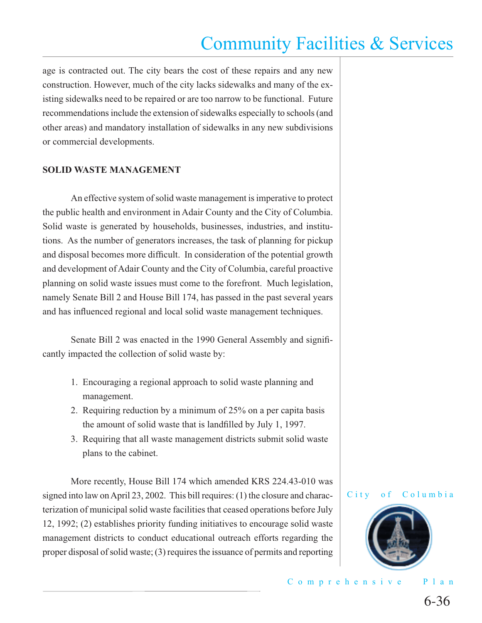age is contracted out. The city bears the cost of these repairs and any new construction. However, much of the city lacks sidewalks and many of the existing sidewalks need to be repaired or are too narrow to be functional. Future recommendations include the extension of sidewalks especially to schools (and other areas) and mandatory installation of sidewalks in any new subdivisions or commercial developments.

#### **SOLID WASTE MANAGEMENT**

 An effective system of solid waste management is imperative to protect the public health and environment in Adair County and the City of Columbia. Solid waste is generated by households, businesses, industries, and institutions. As the number of generators increases, the task of planning for pickup and disposal becomes more difficult. In consideration of the potential growth and development of Adair County and the City of Columbia, careful proactive planning on solid waste issues must come to the forefront. Much legislation, namely Senate Bill 2 and House Bill 174, has passed in the past several years and has influenced regional and local solid waste management techniques.

Senate Bill 2 was enacted in the 1990 General Assembly and significantly impacted the collection of solid waste by:

- 1. Encouraging a regional approach to solid waste planning and management.
- 2. Requiring reduction by a minimum of 25% on a per capita basis the amount of solid waste that is landfilled by July 1, 1997.
- 3. Requiring that all waste management districts submit solid waste plans to the cabinet.

 More recently, House Bill 174 which amended KRS 224.43-010 was signed into law on April 23, 2002. This bill requires: (1) the closure and characterization of municipal solid waste facilities that ceased operations before July 12, 1992; (2) establishes priority funding initiatives to encourage solid waste management districts to conduct educational outreach efforts regarding the proper disposal of solid waste; (3) requires the issuance of permits and reporting



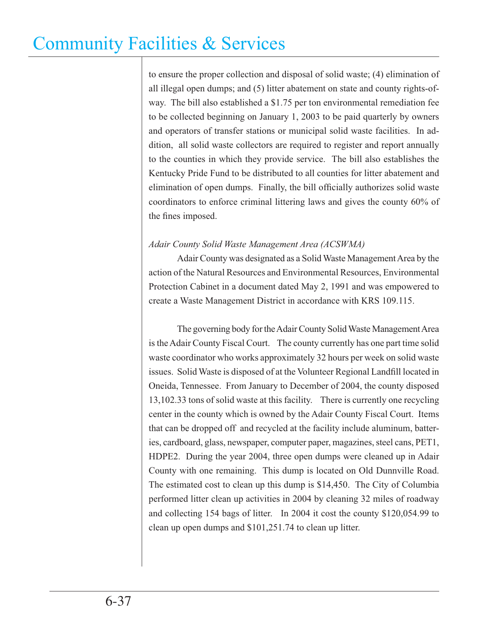to ensure the proper collection and disposal of solid waste; (4) elimination of all illegal open dumps; and (5) litter abatement on state and county rights-ofway. The bill also established a \$1.75 per ton environmental remediation fee to be collected beginning on January 1, 2003 to be paid quarterly by owners and operators of transfer stations or municipal solid waste facilities. In addition, all solid waste collectors are required to register and report annually to the counties in which they provide service. The bill also establishes the Kentucky Pride Fund to be distributed to all counties for litter abatement and elimination of open dumps. Finally, the bill officially authorizes solid waste coordinators to enforce criminal littering laws and gives the county 60% of the fines imposed.

### *Adair County Solid Waste Management Area (ACSWMA)*

 Adair County was designated as a Solid Waste Management Area by the action of the Natural Resources and Environmental Resources, Environmental Protection Cabinet in a document dated May 2, 1991 and was empowered to create a Waste Management District in accordance with KRS 109.115.

 The governing body for the Adair County Solid Waste Management Area is the Adair County Fiscal Court. The county currently has one part time solid waste coordinator who works approximately 32 hours per week on solid waste issues. Solid Waste is disposed of at the Volunteer Regional Landfill located in Oneida, Tennessee. From January to December of 2004, the county disposed 13,102.33 tons of solid waste at this facility. There is currently one recycling center in the county which is owned by the Adair County Fiscal Court. Items that can be dropped off and recycled at the facility include aluminum, batteries, cardboard, glass, newspaper, computer paper, magazines, steel cans, PET1, HDPE2. During the year 2004, three open dumps were cleaned up in Adair County with one remaining. This dump is located on Old Dunnville Road. The estimated cost to clean up this dump is \$14,450. The City of Columbia performed litter clean up activities in 2004 by cleaning 32 miles of roadway and collecting 154 bags of litter. In 2004 it cost the county \$120,054.99 to clean up open dumps and \$101,251.74 to clean up litter.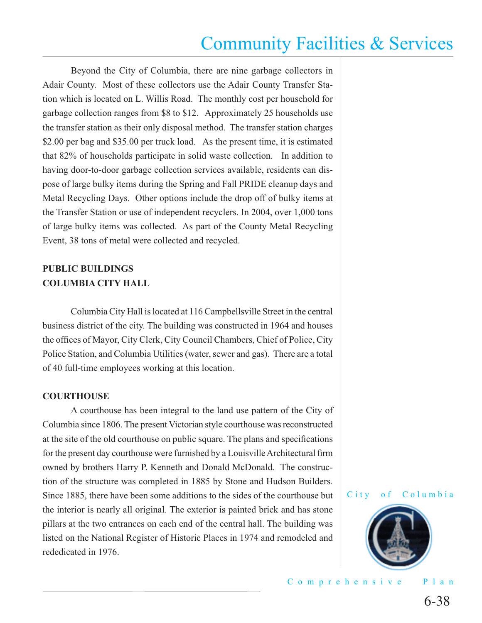Beyond the City of Columbia, there are nine garbage collectors in Adair County. Most of these collectors use the Adair County Transfer Station which is located on L. Willis Road. The monthly cost per household for garbage collection ranges from \$8 to \$12. Approximately 25 households use the transfer station as their only disposal method. The transfer station charges \$2.00 per bag and \$35.00 per truck load. As the present time, it is estimated that 82% of households participate in solid waste collection. In addition to having door-to-door garbage collection services available, residents can dispose of large bulky items during the Spring and Fall PRIDE cleanup days and Metal Recycling Days. Other options include the drop off of bulky items at the Transfer Station or use of independent recyclers. In 2004, over 1,000 tons of large bulky items was collected. As part of the County Metal Recycling Event, 38 tons of metal were collected and recycled.

### **PUBLIC BUILDINGS COLUMBIA CITY HALL**

 Columbia City Hall is located at 116 Campbellsville Street in the central business district of the city. The building was constructed in 1964 and houses the offices of Mayor, City Clerk, City Council Chambers, Chief of Police, City Police Station, and Columbia Utilities (water, sewer and gas). There are a total of 40 full-time employees working at this location.

#### **COURTHOUSE**

 A courthouse has been integral to the land use pattern of the City of Columbia since 1806. The present Victorian style courthouse was reconstructed at the site of the old courthouse on public square. The plans and specifications for the present day courthouse were furnished by a Louisville Architectural firm owned by brothers Harry P. Kenneth and Donald McDonald. The construction of the structure was completed in 1885 by Stone and Hudson Builders. Since 1885, there have been some additions to the sides of the courthouse but the interior is nearly all original. The exterior is painted brick and has stone pillars at the two entrances on each end of the central hall. The building was listed on the National Register of Historic Places in 1974 and remodeled and rededicated in 1976.





Comprehensive Plan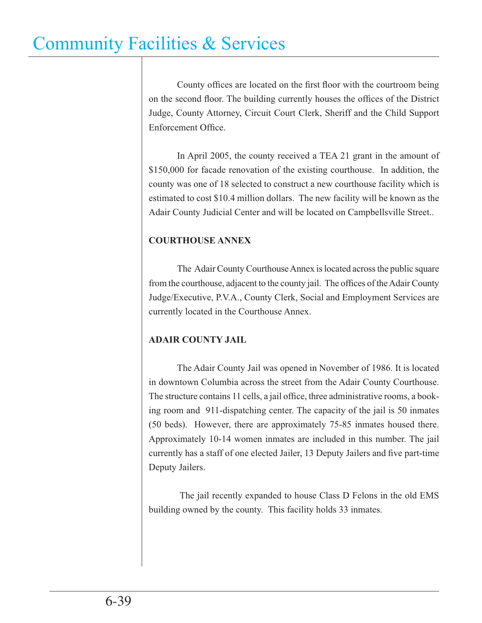County offices are located on the first floor with the courtroom being on the second floor. The building currently houses the offices of the District Judge, County Attorney, Circuit Court Clerk, Sheriff and the Child Support Enforcement Office.

 In April 2005, the county received a TEA 21 grant in the amount of \$150,000 for facade renovation of the existing courthouse. In addition, the county was one of 18 selected to construct a new courthouse facility which is estimated to cost \$10.4 million dollars. The new facility will be known as the Adair County Judicial Center and will be located on Campbellsville Street..

### **COURTHOUSE ANNEX**

 The Adair County Courthouse Annex is located across the public square from the courthouse, adjacent to the county jail. The offices of the Adair County Judge/Executive, P.V.A., County Clerk, Social and Employment Services are currently located in the Courthouse Annex.

### **ADAIR COUNTY JAIL**

 The Adair County Jail was opened in November of 1986. It is located in downtown Columbia across the street from the Adair County Courthouse. The structure contains 11 cells, a jail office, three administrative rooms, a booking room and 911-dispatching center. The capacity of the jail is 50 inmates (50 beds). However, there are approximately 75-85 inmates housed there. Approximately 10-14 women inmates are included in this number. The jail currently has a staff of one elected Jailer, 13 Deputy Jailers and five part-time Deputy Jailers.

 The jail recently expanded to house Class D Felons in the old EMS building owned by the county. This facility holds 33 inmates.